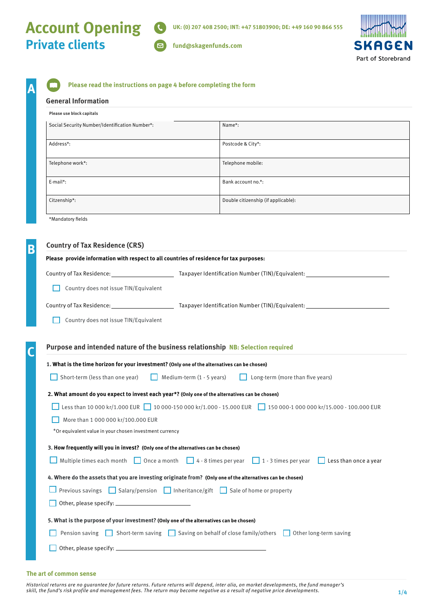# **Account Opening Private clients**

**SKAGEN** Part of Storebrand

 $\Box$ **fund@skagenfunds.com**

|  | Please read the instructions on page 4 before completing the form |
|--|-------------------------------------------------------------------|
|  |                                                                   |

#### **General Information**

**A**

| Please use block capitals                      |                                     |  |
|------------------------------------------------|-------------------------------------|--|
| Social Security Number/Identification Number*: | Name*:                              |  |
| Address*:                                      | Postcode & City*:                   |  |
| Telephone work*:                               | Telephone mobile:                   |  |
| E-mail*:                                       | Bank account no.*:                  |  |
| Citzenship*:                                   | Double citizenship (if applicable): |  |

\*Mandatory fields

| <b>Country of Tax Residence (CRS)</b>                                                            |                                                                                                                                       |  |  |
|--------------------------------------------------------------------------------------------------|---------------------------------------------------------------------------------------------------------------------------------------|--|--|
| Please provide information with respect to all countries of residence for tax purposes:          |                                                                                                                                       |  |  |
| Country of Tax Residence: <u>Cambridge Country of Tax</u>                                        | Taxpayer Identification Number (TIN)/Equivalent:                                                                                      |  |  |
| Country does not issue TIN/Equivalent                                                            |                                                                                                                                       |  |  |
|                                                                                                  |                                                                                                                                       |  |  |
| Country does not issue TIN/Equivalent                                                            |                                                                                                                                       |  |  |
|                                                                                                  |                                                                                                                                       |  |  |
|                                                                                                  | Purpose and intended nature of the business relationship NB: Selection required                                                       |  |  |
| 1. What is the time horizon for your investment? (Only one of the alternatives can be chosen)    |                                                                                                                                       |  |  |
| Short-term (less than one year)<br>Medium-term (1 - 5 years)<br>Long-term (more than five years) |                                                                                                                                       |  |  |
| 2. What amount do you expect to invest each year*? (Only one of the alternatives can be chosen)  |                                                                                                                                       |  |  |
|                                                                                                  | Less than 10 000 kr/1.000 EUR 10 000-150 000 kr/1.000 - 15.000 EUR 150 000-1 000 000 kr/15.000 - 100.000 EUR                          |  |  |
| More than 1 000 000 kr/100.000 EUR                                                               |                                                                                                                                       |  |  |
|                                                                                                  |                                                                                                                                       |  |  |
| *Or equivalent value in your chosen investment currency                                          |                                                                                                                                       |  |  |
| 3. How frequently will you in invest? (Only one of the alternatives can be chosen)               |                                                                                                                                       |  |  |
|                                                                                                  | Multiple times each month $\Box$ Once a month $\Box$ 4 - 8 times per year $\Box$ 1 - 3 times per year<br>$\Box$ Less than once a year |  |  |
|                                                                                                  | 4. Where do the assets that you are investing originate from? (Only one of the alternatives can be chosen)                            |  |  |
|                                                                                                  | Previous savings $\Box$ Salary/pension $\Box$ Inheritance/gift $\Box$ Sale of home or property                                        |  |  |
|                                                                                                  |                                                                                                                                       |  |  |
| 5. What is the purpose of your investment? (Only one of the alternatives can be chosen)          |                                                                                                                                       |  |  |
| Pension saving                                                                                   | $\Box$ Short-term saving $\Box$ Saving on behalf of close family/others<br>Other long-term saving                                     |  |  |
|                                                                                                  |                                                                                                                                       |  |  |

#### **The art of common sense**

*Historical returns are no guarantee for future returns. Future returns will depend, inter alia, on market developments, the fund manager's skill, the fund's risk profile and management fees. The return may become negative as a result of negative price developments.*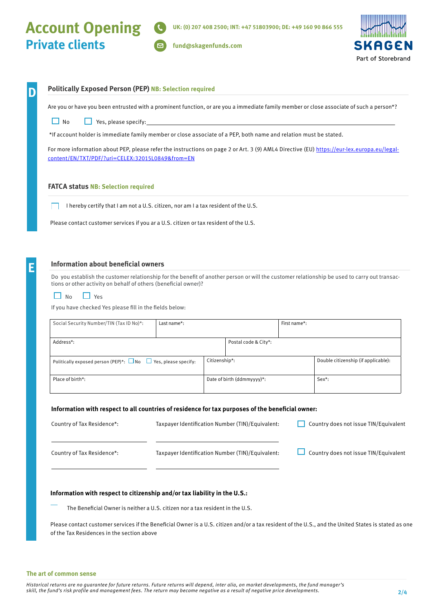**fund@skagenfunds.com**



### **D Politically Exposed Person (PEP) NB: Selection required**

Are you or have you been entrusted with a prominent function, or are you a immediate family member or close associate of such a person\*?

 $\Box$  No  $\Box$  Yes, please specify:

\*If account holder is immediate family member or close associate of a PEP, both name and relation must be stated.

For more information about PEP, please refer the instructions on page 2 or Art. 3 (9) AML4 Directive (EU) https://eur-lex.europa.eu/legalcontent/EN/TXT/PDF/?uri=CELEX:32015L0849&from=EN

#### **FATCA status NB: Selection required**

I hereby certify that I am not a U.S. citizen, nor am I a tax resident of the U.S.

Please contact customer services if you ar a U.S. citizen or tax resident of the U.S.

#### **Information about beneficial owners**

Do you establish the customer relationship for the benefit of another person or will the customer relationship be used to carry out transactions or other activity on behalf of others (beneficial owner)?

 $\Box$  No  $\Box$  Yes

If you have checked Yes please fill in the fields below:

| Social Security Number/TIN (Tax ID No)*:                                 | Last name*: |                            |                      | First name*:                        |  |
|--------------------------------------------------------------------------|-------------|----------------------------|----------------------|-------------------------------------|--|
|                                                                          |             |                            |                      |                                     |  |
| Address*:                                                                |             |                            | Postal code & City*: |                                     |  |
|                                                                          |             |                            |                      |                                     |  |
| Politically exposed person (PEP)*: $\Box$ No $\Box$ Yes, please specify: |             | Citizenship*:              |                      | Double citizenship (if applicable): |  |
|                                                                          |             |                            |                      |                                     |  |
| Place of birth*:                                                         |             | Date of birth (ddmmyyyy)*: |                      | $Sex^*$ :                           |  |
|                                                                          |             |                            |                      |                                     |  |

#### **Information with respect to all countries of residence for tax purposes of the beneficial owner:**

| Country of Tax Residence*: | Taxpayer Identification Number (TIN)/Equivalent: | Country does not issue TIN/Equivalent |
|----------------------------|--------------------------------------------------|---------------------------------------|
| Country of Tax Residence*: | Taxpayer Identification Number (TIN)/Equivalent: | Country does not issue TIN/Equivalent |

#### **Information with respect to citizenship and/or tax liability in the U.S.:**

The Beneficial Owner is neither a U.S. citizen nor a tax resident in the U.S.

Please contact customer services if the Beneficial Owner is a U.S. citizen and/or a tax resident of the U.S., and the United States is stated as one of the Tax Residences in the section above

#### **The art of common sense**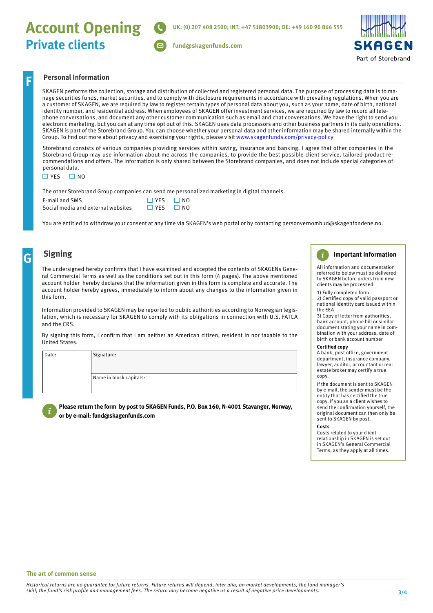# **Account Opening Private clients**



#### **Personal Information**

SKAGEN performs the collection, storage and distribution of collected and registered personal data. The purpose of processing data is to manage securities funds, market securities, and to comply with disclosure requirements in accordance with prevailing regulations. When you are a customer of SKAGEN, we are required by law to register certain types of personal data about you, such as your name, date of birth, national identity number, and residential address. When employees of SKAGEN offer investment services, we are required by law to record all telephone conversations, and document any other customer communication such as email and chat conversations. We have the right to send you electronic marketing, but you can at any time opt out of this. SKAGEN uses data processors and other business partners in its daily operations. SKAGEN is part of the Storebrand Group. You can choose whether your personal data and other information may be shared internally within the Group. To find out more about privacy and exercising your rights, please visit [www.skagenfunds.com/privacy-policy](http://www.skagenfunds.com/privacy-policy)

**fund@skagenfunds.com**

Storebrand consists of various companies providing services within saving, insurance and banking. I agree that other companies in the Storebrand Group may use information about me across the companies, to provide the best possible client service, tailored product recommendations and offers. The information is only shared between the Storebrand companies, and does not include special categories of personal data.

 $\Box$  YES  $\Box$  NO

The other Storebrand Group companies can send me personalized marketing in digital channels.

| E-mail and SMS                     | $\Box$ YFS           | $\square$ NO |
|------------------------------------|----------------------|--------------|
| Social media and external websites | $\Box$ YES $\Box$ NO |              |

You are entitled to withdraw your consent at any time via SKAGEN's web portal or by contacting personvernombud@skagenfondene.no.

## **G**

**F**

### **Signing**

The undersigned hereby confirms that I have examined and accepted the contents of SKAGENs General Commercial Terms as well as the conditions set out in this form (4 pages). The above mentioned account holder hereby declares that the information given in this form is complete and accurate. The account holder hereby agrees, immediately to inform about any changes to the information given in this form.

Information provided to SKAGEN may be reported to public authorities according to Norwegian legislation, which is necessary for SKAGEN to comply with its obligations in connection with U.S. FATCA and the CRS.

By signing this form, I confirm that I am neither an American citizen, resident in nor taxable to the United States.

Date: | Signature:

Name in block capitals:



#### **Please return the form by post to SKAGEN Funds, P.O. Box 160, N-4001 Stavanger, Norway, or by e-mail: fund@skagenfunds.com**

#### $\mathbf{i}$ **Important information**

All information and documentation referred to below must be delivered to SKAGEN before orders from new clients may be processed.

1) Fully completed form 2) Certified copy of valid passport or national identity card issued within the EEA

3) Copy of letter from authorities, bank account, phone bill or similar document stating your name in combination with your address, date of birth or bank account number

#### **Certified copy**

#### A bank, post office, government department, insurance company, lawyer, auditor, accountant or real estate broker may certify a true copy.

If the document is sent to SKAGEN by e-mail, the sender must be the entity that has certified the true copy. If you as a client wishes to send the confirmation yourself, the original document can then only be sent to SKAGEN by post.

#### **Costs**

Costs related to your client relationship in SKAGEN is set out in SKAGEN's General Commercial Terms, as they apply at all times.